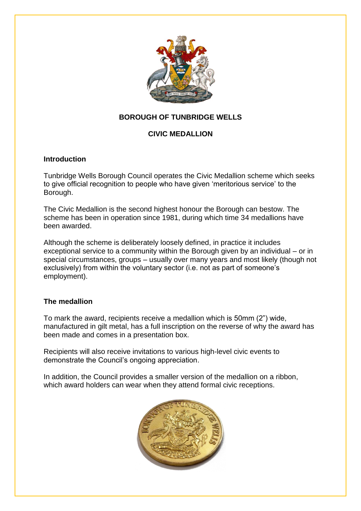

## **BOROUGH OF TUNBRIDGE WELLS**

### **CIVIC MEDALLION**

#### **Introduction**

Tunbridge Wells Borough Council operates the Civic Medallion scheme which seeks to give official recognition to people who have given 'meritorious service' to the Borough.

The Civic Medallion is the second highest honour the Borough can bestow. The scheme has been in operation since 1981, during which time 34 medallions have been awarded.

Although the scheme is deliberately loosely defined, in practice it includes exceptional service to a community within the Borough given by an individual – or in special circumstances, groups – usually over many years and most likely (though not exclusively) from within the voluntary sector (i.e. not as part of someone's employment).

#### **The medallion**

To mark the award, recipients receive a medallion which is 50mm (2") wide, manufactured in gilt metal, has a full inscription on the reverse of why the award has been made and comes in a presentation box.

Recipients will also receive invitations to various high-level civic events to demonstrate the Council's ongoing appreciation.

In addition, the Council provides a smaller version of the medallion on a ribbon, which award holders can wear when they attend formal civic receptions.

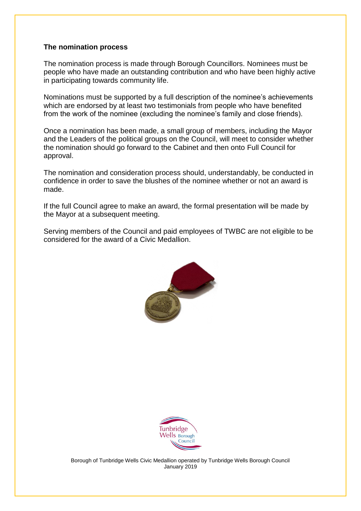#### **The nomination process**

The nomination process is made through Borough Councillors. Nominees must be people who have made an outstanding contribution and who have been highly active in participating towards community life.

Nominations must be supported by a full description of the nominee's achievements which are endorsed by at least two testimonials from people who have benefited from the work of the nominee (excluding the nominee's family and close friends).

Once a nomination has been made, a small group of members, including the Mayor and the Leaders of the political groups on the Council, will meet to consider whether the nomination should go forward to the Cabinet and then onto Full Council for approval.

The nomination and consideration process should, understandably, be conducted in confidence in order to save the blushes of the nominee whether or not an award is made.

If the full Council agree to make an award, the formal presentation will be made by the Mayor at a subsequent meeting.

Serving members of the Council and paid employees of TWBC are not eligible to be considered for the award of a Civic Medallion.





Borough of Tunbridge Wells Civic Medallion operated by Tunbridge Wells Borough Council January 2019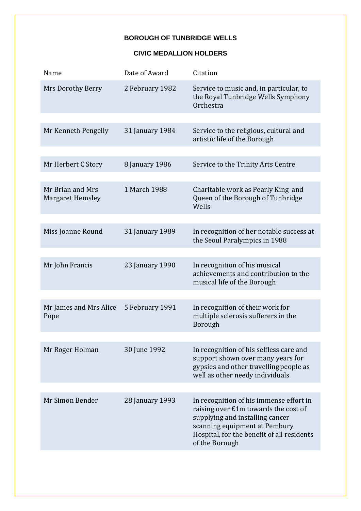# **BOROUGH OF TUNBRIDGE WELLS**

#### **CIVIC MEDALLION HOLDERS**

| Name                                        | Date of Award   | Citation                                                                                                                                                                                                            |
|---------------------------------------------|-----------------|---------------------------------------------------------------------------------------------------------------------------------------------------------------------------------------------------------------------|
| Mrs Dorothy Berry                           | 2 February 1982 | Service to music and, in particular, to<br>the Royal Tunbridge Wells Symphony<br>Orchestra                                                                                                                          |
|                                             |                 |                                                                                                                                                                                                                     |
| Mr Kenneth Pengelly                         | 31 January 1984 | Service to the religious, cultural and<br>artistic life of the Borough                                                                                                                                              |
|                                             |                 |                                                                                                                                                                                                                     |
| Mr Herbert C Story                          | 8 January 1986  | Service to the Trinity Arts Centre                                                                                                                                                                                  |
|                                             |                 |                                                                                                                                                                                                                     |
| Mr Brian and Mrs<br><b>Margaret Hemsley</b> | 1 March 1988    | Charitable work as Pearly King and<br>Queen of the Borough of Tunbridge<br>Wells                                                                                                                                    |
|                                             |                 |                                                                                                                                                                                                                     |
| Miss Joanne Round                           | 31 January 1989 | In recognition of her notable success at<br>the Seoul Paralympics in 1988                                                                                                                                           |
|                                             |                 |                                                                                                                                                                                                                     |
| Mr John Francis                             | 23 January 1990 | In recognition of his musical<br>achievements and contribution to the<br>musical life of the Borough                                                                                                                |
|                                             |                 |                                                                                                                                                                                                                     |
| Mr James and Mrs Alice<br>Pope              | 5 February 1991 | In recognition of their work for<br>multiple sclerosis sufferers in the<br>Borough                                                                                                                                  |
|                                             |                 |                                                                                                                                                                                                                     |
| Mr Roger Holman                             | 30 June 1992    | In recognition of his selfless care and<br>support shown over many years for<br>gypsies and other travelling people as<br>well as other needy individuals                                                           |
|                                             |                 |                                                                                                                                                                                                                     |
| Mr Simon Bender                             | 28 January 1993 | In recognition of his immense effort in<br>raising over £1m towards the cost of<br>supplying and installing cancer<br>scanning equipment at Pembury<br>Hospital, for the benefit of all residents<br>of the Borough |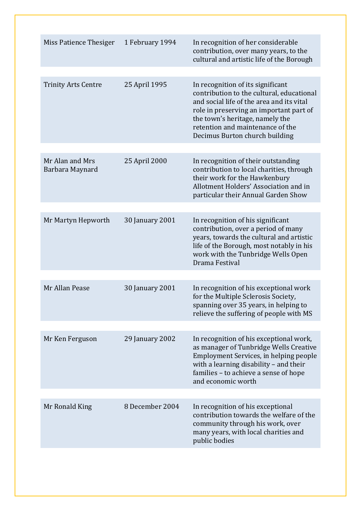| Miss Patience Thesiger             | 1 February 1994 | In recognition of her considerable<br>contribution, over many years, to the<br>cultural and artistic life of the Borough                                                                                                                                                        |
|------------------------------------|-----------------|---------------------------------------------------------------------------------------------------------------------------------------------------------------------------------------------------------------------------------------------------------------------------------|
| <b>Trinity Arts Centre</b>         | 25 April 1995   | In recognition of its significant<br>contribution to the cultural, educational<br>and social life of the area and its vital<br>role in preserving an important part of<br>the town's heritage, namely the<br>retention and maintenance of the<br>Decimus Burton church building |
| Mr Alan and Mrs<br>Barbara Maynard | 25 April 2000   | In recognition of their outstanding<br>contribution to local charities, through<br>their work for the Hawkenbury<br>Allotment Holders' Association and in<br>particular their Annual Garden Show                                                                                |
| Mr Martyn Hepworth                 | 30 January 2001 | In recognition of his significant<br>contribution, over a period of many<br>years, towards the cultural and artistic<br>life of the Borough, most notably in his<br>work with the Tunbridge Wells Open<br>Drama Festival                                                        |
| Mr Allan Pease                     | 30 January 2001 | In recognition of his exceptional work<br>for the Multiple Sclerosis Society,<br>spanning over 35 years, in helping to<br>relieve the suffering of people with MS                                                                                                               |
| Mr Ken Ferguson                    | 29 January 2002 | In recognition of his exceptional work,<br>as manager of Tunbridge Wells Creative<br>Employment Services, in helping people<br>with a learning disability - and their<br>families - to achieve a sense of hope<br>and economic worth                                            |
| Mr Ronald King                     | 8 December 2004 | In recognition of his exceptional<br>contribution towards the welfare of the<br>community through his work, over<br>many years, with local charities and<br>public bodies                                                                                                       |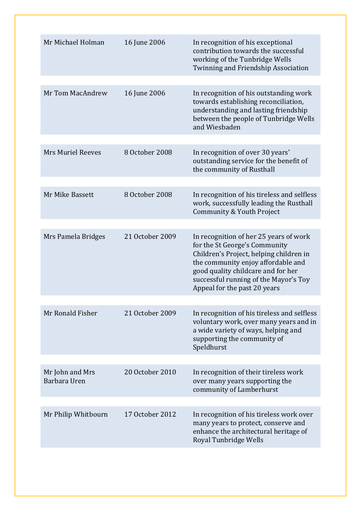| Mr Michael Holman               | 16 June 2006    | In recognition of his exceptional<br>contribution towards the successful<br>working of the Tunbridge Wells<br>Twinning and Friendship Association                                                                                                                       |
|---------------------------------|-----------------|-------------------------------------------------------------------------------------------------------------------------------------------------------------------------------------------------------------------------------------------------------------------------|
| Mr Tom MacAndrew                | 16 June 2006    | In recognition of his outstanding work<br>towards establishing reconciliation,<br>understanding and lasting friendship<br>between the people of Tunbridge Wells<br>and Wiesbaden                                                                                        |
|                                 |                 |                                                                                                                                                                                                                                                                         |
| <b>Mrs Muriel Reeves</b>        | 8 October 2008  | In recognition of over 30 years'<br>outstanding service for the benefit of<br>the community of Rusthall                                                                                                                                                                 |
|                                 |                 |                                                                                                                                                                                                                                                                         |
| Mr Mike Bassett                 | 8 October 2008  | In recognition of his tireless and selfless<br>work, successfully leading the Rusthall<br>Community & Youth Project                                                                                                                                                     |
|                                 |                 |                                                                                                                                                                                                                                                                         |
| Mrs Pamela Bridges              | 21 October 2009 | In recognition of her 25 years of work<br>for the St George's Community<br>Children's Project, helping children in<br>the community enjoy affordable and<br>good quality childcare and for her<br>successful running of the Mayor's Toy<br>Appeal for the past 20 years |
|                                 |                 |                                                                                                                                                                                                                                                                         |
| Mr Ronald Fisher                | 21 October 2009 | In recognition of his tireless and selfless<br>voluntary work, over many years and in<br>a wide variety of ways, helping and<br>supporting the community of<br>Speldhurst                                                                                               |
|                                 |                 |                                                                                                                                                                                                                                                                         |
| Mr John and Mrs<br>Barbara Uren | 20 October 2010 | In recognition of their tireless work<br>over many years supporting the<br>community of Lamberhurst                                                                                                                                                                     |
|                                 |                 |                                                                                                                                                                                                                                                                         |
| Mr Philip Whitbourn             | 17 October 2012 | In recognition of his tireless work over<br>many years to protect, conserve and<br>enhance the architectural heritage of<br>Royal Tunbridge Wells                                                                                                                       |
|                                 |                 |                                                                                                                                                                                                                                                                         |